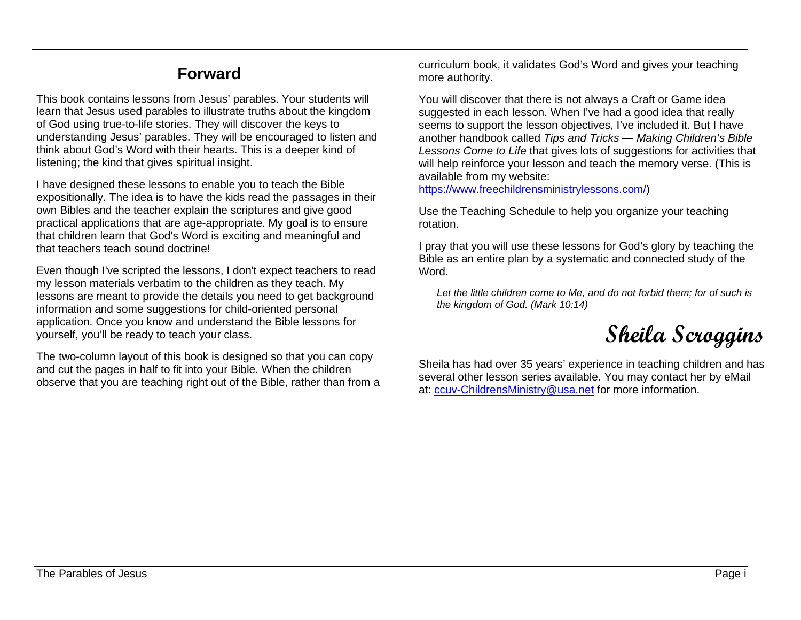## **Forward**

This book contains lessons from Jesus' parables. Your students will learn that Jesus used parables to illustrate truths about the kingdom of God using true-to-life stories. They will discover the keys to understanding Jesus' parables. They will be encouraged to listen and think about God's Word with their hearts. This is a deeper kind of listening; the kind that gives spiritual insight.

I have designed these lessons to enable you to teach the Bible expositionally. The idea is to have the kids read the passages in their own Bibles and the teacher explain the scriptures and give good practical applications that are age-appropriate. My goal is to ensure that children learn that God's Word is exciting and meaningful and that teachers teach sound doctrine!

Even though I've scripted the lessons, I don't expect teachers to read my lesson materials verbatim to the children as they teach. My lessons are meant to provide the details you need to get background information and some suggestions for child-oriented personal application. Once you know and understand the Bible lessons for yourself, you'll be ready to teach your class.

The two-column layout of this book is designed so that you can copy and cut the pages in half to fit into your Bible. When the children observe that you are teaching right out of the Bible, rather than from a curriculum book, it validates God's Word and gives your teaching more authority.

You will discover that there is not always a Craft or Game idea suggested in each lesson. When I've had a good idea that really seems to support the lesson objectives, I've included it. But I have another handbook called *Tips and Tricks — Making Children's Bible Lessons Come to Life* that gives lots of suggestions for activities that will help reinforce your lesson and teach the memory verse. (This is available from my website:

[https://www.freechildrensministrylessons.com/\)](https://www.freechildrensministrylessons.com/)

Use the Teaching Schedule to help you organize your teaching rotation.

I pray that you will use these lessons for God's glory by teaching the Bible as an entire plan by a systematic and connected study of the Word.

*Let the little children come to Me, and do not forbid them; for of such is the kingdom of God. (Mark 10:14)*

## **Sheila Scroggins**

Sheila has had over 35 years' experience in teaching children and has several other lesson series available. You may contact her by eMail at: [ccuv-ChildrensMinistry@usa.net](mailto:ccuv-ChildrensMinistry@usa.net) for more information.